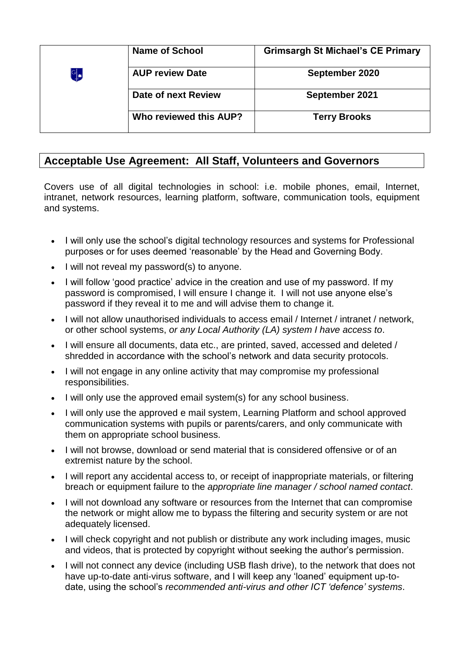|   | <b>Name of School</b>  | <b>Grimsargh St Michael's CE Primary</b> |
|---|------------------------|------------------------------------------|
| G | <b>AUP review Date</b> | September 2020                           |
|   | Date of next Review    | September 2021                           |
|   | Who reviewed this AUP? | <b>Terry Brooks</b>                      |

## **Acceptable Use Agreement: All Staff, Volunteers and Governors**

Covers use of all digital technologies in school: i.e. mobile phones, email, Internet, intranet, network resources, learning platform, software, communication tools, equipment and systems.

- I will only use the school's digital technology resources and systems for Professional purposes or for uses deemed 'reasonable' by the Head and Governing Body.
- $\bullet$  I will not reveal my password(s) to anyone.
- I will follow 'good practice' advice in the creation and use of my password. If my password is compromised, I will ensure I change it. I will not use anyone else's password if they reveal it to me and will advise them to change it.
- I will not allow unauthorised individuals to access email / Internet / intranet / network, or other school systems, *or any Local Authority (LA) system I have access to*.
- I will ensure all documents, data etc., are printed, saved, accessed and deleted / shredded in accordance with the school's network and data security protocols.
- I will not engage in any online activity that may compromise my professional responsibilities.
- I will only use the approved email system(s) for any school business.
- I will only use the approved e mail system, Learning Platform and school approved communication systems with pupils or parents/carers, and only communicate with them on appropriate school business.
- I will not browse, download or send material that is considered offensive or of an extremist nature by the school.
- I will report any accidental access to, or receipt of inappropriate materials, or filtering breach or equipment failure to the *appropriate line manager / school named contact*.
- I will not download any software or resources from the Internet that can compromise the network or might allow me to bypass the filtering and security system or are not adequately licensed.
- I will check copyright and not publish or distribute any work including images, music and videos, that is protected by copyright without seeking the author's permission.
- I will not connect any device (including USB flash drive), to the network that does not have up-to-date anti-virus software, and I will keep any 'loaned' equipment up-todate, using the school's *recommended anti-virus and other ICT 'defence' systems*.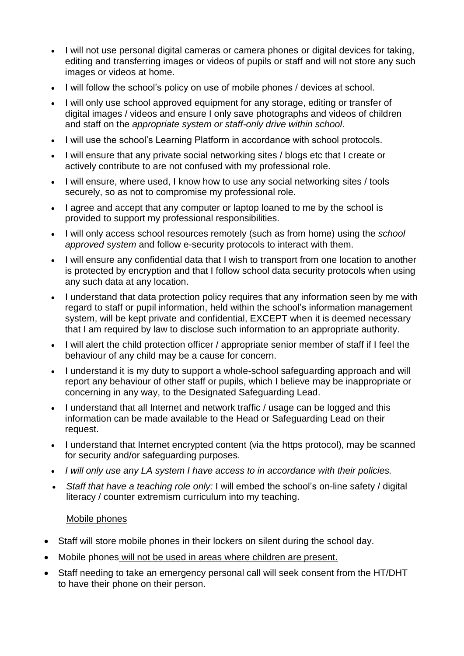- I will not use personal digital cameras or camera phones or digital devices for taking, editing and transferring images or videos of pupils or staff and will not store any such images or videos at home.
- I will follow the school's policy on use of mobile phones / devices at school.
- I will only use school approved equipment for any storage, editing or transfer of digital images / videos and ensure I only save photographs and videos of children and staff on the *appropriate system or staff-only drive within school*.
- I will use the school's Learning Platform in accordance with school protocols.
- I will ensure that any private social networking sites / blogs etc that I create or actively contribute to are not confused with my professional role.
- I will ensure, where used, I know how to use any social networking sites / tools securely, so as not to compromise my professional role.
- I agree and accept that any computer or laptop loaned to me by the school is provided to support my professional responsibilities.
- I will only access school resources remotely (such as from home) using the *school approved system* and follow e-security protocols to interact with them.
- I will ensure any confidential data that I wish to transport from one location to another is protected by encryption and that I follow school data security protocols when using any such data at any location.
- I understand that data protection policy requires that any information seen by me with regard to staff or pupil information, held within the school's information management system, will be kept private and confidential, EXCEPT when it is deemed necessary that I am required by law to disclose such information to an appropriate authority.
- I will alert the child protection officer / appropriate senior member of staff if I feel the behaviour of any child may be a cause for concern.
- I understand it is my duty to support a whole-school safeguarding approach and will report any behaviour of other staff or pupils, which I believe may be inappropriate or concerning in any way, to the Designated Safeguarding Lead.
- I understand that all Internet and network traffic / usage can be logged and this information can be made available to the Head or Safeguarding Lead on their request.
- I understand that Internet encrypted content (via the https protocol), may be scanned for security and/or safeguarding purposes.
- *I will only use any LA system I have access to in accordance with their policies.*
- *Staff that have a teaching role only:* I will embed the school's on-line safety / digital literacy / counter extremism curriculum into my teaching.

### Mobile phones

- Staff will store mobile phones in their lockers on silent during the school day.
- Mobile phones will not be used in areas where children are present.
- Staff needing to take an emergency personal call will seek consent from the HT/DHT to have their phone on their person.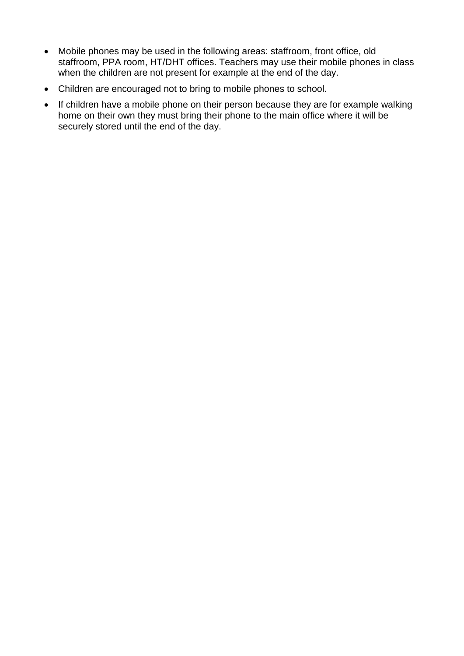- Mobile phones may be used in the following areas: staffroom, front office, old staffroom, PPA room, HT/DHT offices. Teachers may use their mobile phones in class when the children are not present for example at the end of the day.
- Children are encouraged not to bring to mobile phones to school.
- If children have a mobile phone on their person because they are for example walking home on their own they must bring their phone to the main office where it will be securely stored until the end of the day.